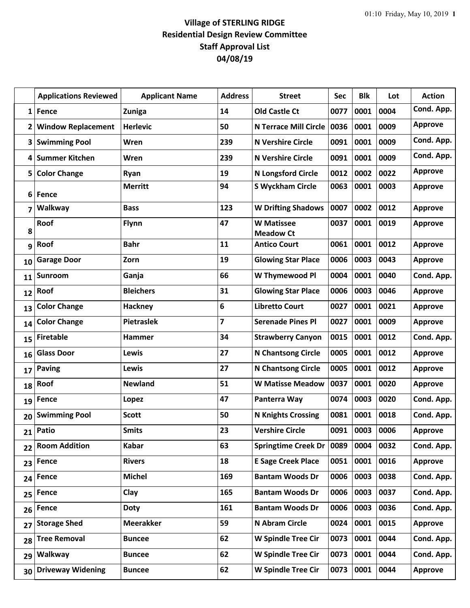## **Village of STERLING RIDGE Residential Design Review Committee Staff Approval List 04/08/19**

|              | <b>Applications Reviewed</b> | <b>Applicant Name</b> | <b>Address</b> | <b>Street</b>                         | <b>Sec</b> | <b>Blk</b> | Lot  | <b>Action</b>  |
|--------------|------------------------------|-----------------------|----------------|---------------------------------------|------------|------------|------|----------------|
| $\mathbf{1}$ | Fence                        | <b>Zuniga</b>         | 14             | <b>Old Castle Ct</b>                  | 0077       | 0001       | 0004 | Cond. App.     |
| 2            | <b>Window Replacement</b>    | <b>Herlevic</b>       | 50             | <b>N Terrace Mill Circle</b>          | 0036       | 0001       | 0009 | <b>Approve</b> |
| 3            | <b>Swimming Pool</b>         | Wren                  | 239            | <b>N Vershire Circle</b>              | 0091       | 0001       | 0009 | Cond. App.     |
| 4            | <b>Summer Kitchen</b>        | Wren                  | 239            | <b>N Vershire Circle</b>              | 0091       | 0001       | 0009 | Cond. App.     |
| 5            | <b>Color Change</b>          | Ryan                  | 19             | <b>N Longsford Circle</b>             | 0012       | 0002       | 0022 | <b>Approve</b> |
| 6            | Fence                        | <b>Merritt</b>        | 94             | <b>S Wyckham Circle</b>               | 0063       | 0001       | 0003 | <b>Approve</b> |
| 7            | Walkway                      | <b>Bass</b>           | 123            | <b>W Drifting Shadows</b>             | 0007       | 0002       | 0012 | <b>Approve</b> |
| 8            | Roof                         | <b>Flynn</b>          | 47             | <b>W</b> Matissee<br><b>Meadow Ct</b> | 0037       | 0001       | 0019 | <b>Approve</b> |
| 9            | Roof                         | <b>Bahr</b>           | 11             | <b>Antico Court</b>                   | 0061       | 0001       | 0012 | <b>Approve</b> |
| 10           | <b>Garage Door</b>           | Zorn                  | 19             | <b>Glowing Star Place</b>             | 0006       | 0003       | 0043 | <b>Approve</b> |
| 11           | Sunroom                      | Ganja                 | 66             | W Thymewood Pl                        | 0004       | 0001       | 0040 | Cond. App.     |
| 12           | Roof                         | <b>Bleichers</b>      | 31             | <b>Glowing Star Place</b>             | 0006       | 0003       | 0046 | <b>Approve</b> |
| 13           | <b>Color Change</b>          | <b>Hackney</b>        | 6              | <b>Libretto Court</b>                 | 0027       | 0001       | 0021 | <b>Approve</b> |
| 14           | <b>Color Change</b>          | <b>Pietraslek</b>     | $\overline{7}$ | <b>Serenade Pines Pl</b>              | 0027       | 0001       | 0009 | <b>Approve</b> |
| 15           | <b>Firetable</b>             | <b>Hammer</b>         | 34             | <b>Strawberry Canyon</b>              | 0015       | 0001       | 0012 | Cond. App.     |
| 16           | <b>Glass Door</b>            | Lewis                 | 27             | <b>N Chantsong Circle</b>             | 0005       | 0001       | 0012 | <b>Approve</b> |
| 17           | <b>Paving</b>                | Lewis                 | 27             | N Chantsong Circle                    | 0005       | 0001       | 0012 | <b>Approve</b> |
| 18           | Roof                         | <b>Newland</b>        | 51             | <b>W Matisse Meadow</b>               | 0037       | 0001       | 0020 | <b>Approve</b> |
| 19           | Fence                        | Lopez                 | 47             | Panterra Way                          | 0074       | 0003       | 0020 | Cond. App.     |
| 20           | <b>Swimming Pool</b>         | <b>Scott</b>          | 50             | <b>N Knights Crossing</b>             | 0081       | 0001       | 0018 | Cond. App.     |
|              | 21 Patio                     | <b>Smits</b>          | 23             | <b>Vershire Circle</b>                | 0091       | 0003       | 0006 | <b>Approve</b> |
| 22           | <b>Room Addition</b>         | <b>Kabar</b>          | 63             | Springtime Creek Dr   0089            |            | 0004       | 0032 | Cond. App.     |
| 23           | Fence                        | <b>Rivers</b>         | 18             | <b>E Sage Creek Place</b>             | 0051       | 0001       | 0016 | <b>Approve</b> |
| 24           | Fence                        | <b>Michel</b>         | 169            | <b>Bantam Woods Dr</b>                | 0006       | 0003       | 0038 | Cond. App.     |
| 25           | Fence                        | Clay                  | 165            | <b>Bantam Woods Dr</b>                | 0006       | 0003       | 0037 | Cond. App.     |
| 26           | Fence                        | <b>Doty</b>           | 161            | <b>Bantam Woods Dr</b>                | 0006       | 0003       | 0036 | Cond. App.     |
| 27           | <b>Storage Shed</b>          | <b>Meerakker</b>      | 59             | N Abram Circle                        | 0024       | 0001       | 0015 | <b>Approve</b> |
| 28           | <b>Tree Removal</b>          | <b>Buncee</b>         | 62             | <b>W Spindle Tree Cir</b>             | 0073       | 0001       | 0044 | Cond. App.     |
| 29           | Walkway                      | <b>Buncee</b>         | 62             | <b>W Spindle Tree Cir</b>             | 0073       | 0001       | 0044 | Cond. App.     |
| 30           | <b>Driveway Widening</b>     | <b>Buncee</b>         | 62             | <b>W Spindle Tree Cir</b>             | 0073       | 0001       | 0044 | <b>Approve</b> |